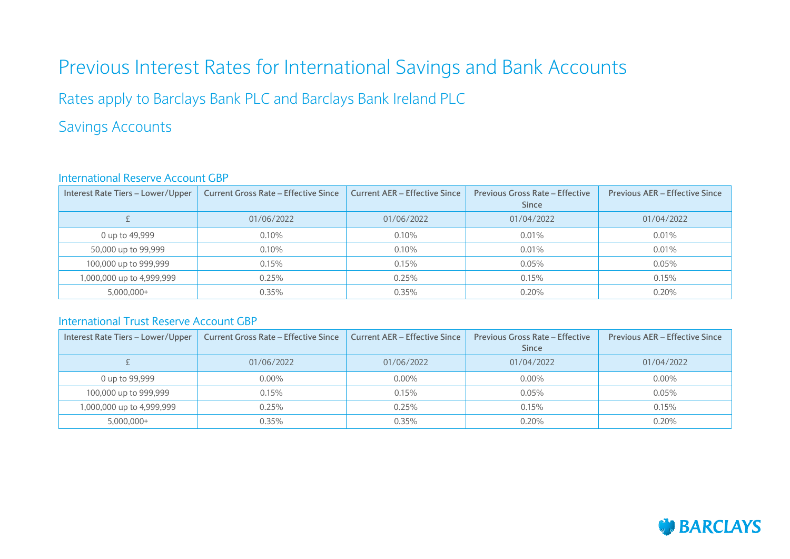# Previous Interest Rates for International Savings and Bank Accounts

Rates apply to Barclays Bank PLC and Barclays Bank Ireland PLC

### Savings Accounts

#### International Reserve Account GBP

| Interest Rate Tiers - Lower/Upper | <b>Current Gross Rate - Effective Since</b> | <b>Current AER - Effective Since</b> | <b>Previous Gross Rate - Effective</b><br>Since | <b>Previous AER - Effective Since</b> |
|-----------------------------------|---------------------------------------------|--------------------------------------|-------------------------------------------------|---------------------------------------|
|                                   | 01/06/2022                                  | 01/06/2022                           | 01/04/2022                                      | 01/04/2022                            |
| 0 up to 49,999                    | $0.10\%$                                    | 0.10%                                | 0.01%                                           | 0.01%                                 |
| 50,000 up to 99,999               | 0.10%                                       | 0.10%                                | 0.01%                                           | 0.01%                                 |
| 100,000 up to 999,999             | 0.15%                                       | 0.15%                                | 0.05%                                           | 0.05%                                 |
| 1,000,000 up to 4,999,999         | 0.25%                                       | 0.25%                                | 0.15%                                           | 0.15%                                 |
| $5,000,000+$                      | 0.35%                                       | 0.35%                                | 0.20%                                           | 0.20%                                 |

#### International Trust Reserve Account GBP

| Interest Rate Tiers - Lower/Upper | <b>Current Gross Rate - Effective Since</b> | <b>Current AER - Effective Since</b> | <b>Previous Gross Rate - Effective</b><br><b>Since</b> | <b>Previous AER - Effective Since</b> |
|-----------------------------------|---------------------------------------------|--------------------------------------|--------------------------------------------------------|---------------------------------------|
|                                   | 01/06/2022                                  | 01/06/2022                           | 01/04/2022                                             | 01/04/2022                            |
| 0 up to 99,999                    | $0.00\%$                                    | $0.00\%$                             | $0.00\%$                                               | $0.00\%$                              |
| 100,000 up to 999,999             | 0.15%                                       | 0.15%                                | 0.05%                                                  | 0.05%                                 |
| 1,000,000 up to 4,999,999         | 0.25%                                       | 0.25%                                | 0.15%                                                  | 0.15%                                 |
| $5,000,000+$                      | 0.35%                                       | 0.35%                                | 0.20%                                                  | 0.20%                                 |

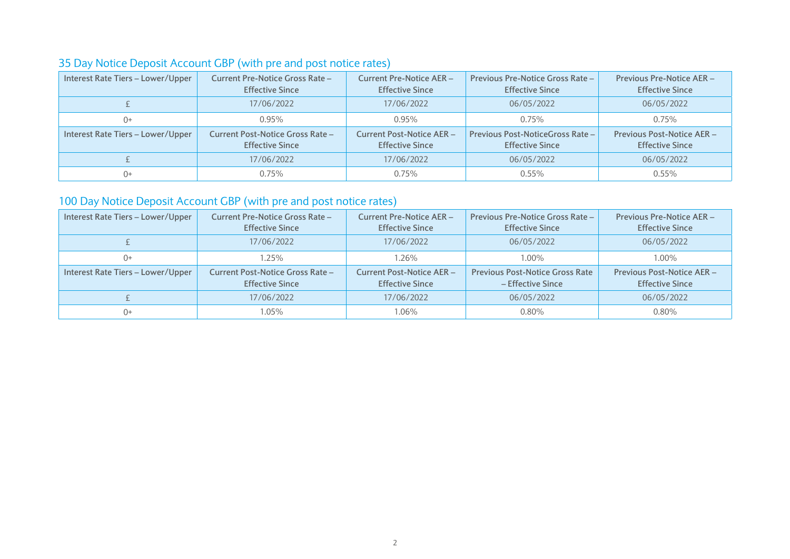### 35 Day Notice Deposit Account GBP (with pre and post notice rates)

| Interest Rate Tiers - Lower/Upper | <b>Current Pre-Notice Gross Rate -</b><br><b>Effective Since</b> | <b>Current Pre-Notice AER -</b><br><b>Effective Since</b>  | Previous Pre-Notice Gross Rate -<br><b>Effective Since</b> | <b>Previous Pre-Notice AER -</b><br><b>Effective Since</b>  |
|-----------------------------------|------------------------------------------------------------------|------------------------------------------------------------|------------------------------------------------------------|-------------------------------------------------------------|
|                                   | 17/06/2022                                                       | 17/06/2022                                                 | 06/05/2022                                                 | 06/05/2022                                                  |
| 0+                                | 0.95%                                                            | 0.95%                                                      | 0.75%                                                      | 0.75%                                                       |
| Interest Rate Tiers - Lower/Upper | Current Post-Notice Gross Rate -<br><b>Effective Since</b>       | <b>Current Post-Notice AER -</b><br><b>Effective Since</b> | Previous Post-NoticeGross Rate -<br><b>Effective Since</b> | <b>Previous Post-Notice AER -</b><br><b>Effective Since</b> |
|                                   | 17/06/2022                                                       | 17/06/2022                                                 | 06/05/2022                                                 | 06/05/2022                                                  |
| 0+                                | 0.75%                                                            | 0.75%                                                      | $0.55\%$                                                   | $0.55\%$                                                    |

### 100 Day Notice Deposit Account GBP (with pre and post notice rates)

| Interest Rate Tiers - Lower/Upper | <b>Current Pre-Notice Gross Rate -</b><br><b>Effective Since</b> | <b>Current Pre-Notice AER-</b><br><b>Effective Since</b>   | Previous Pre-Notice Gross Rate -<br><b>Effective Since</b>  | <b>Previous Pre-Notice AER-</b><br><b>Effective Since</b> |
|-----------------------------------|------------------------------------------------------------------|------------------------------------------------------------|-------------------------------------------------------------|-----------------------------------------------------------|
|                                   | 17/06/2022                                                       | 17/06/2022                                                 | 06/05/2022                                                  | 06/05/2022                                                |
| $()+$                             | $1.25\%$                                                         | 1.26%                                                      | $1.00\%$                                                    | 1.00%                                                     |
| Interest Rate Tiers - Lower/Upper | Current Post-Notice Gross Rate -<br><b>Effective Since</b>       | <b>Current Post-Notice AER -</b><br><b>Effective Since</b> | <b>Previous Post-Notice Gross Rate</b><br>– Effective Since | Previous Post-Notice AER -<br><b>Effective Since</b>      |
|                                   | 17/06/2022                                                       | 17/06/2022                                                 | 06/05/2022                                                  | 06/05/2022                                                |
| $()+$                             | 1.05%                                                            | 1.06%                                                      | $0.80\%$                                                    | 0.80%                                                     |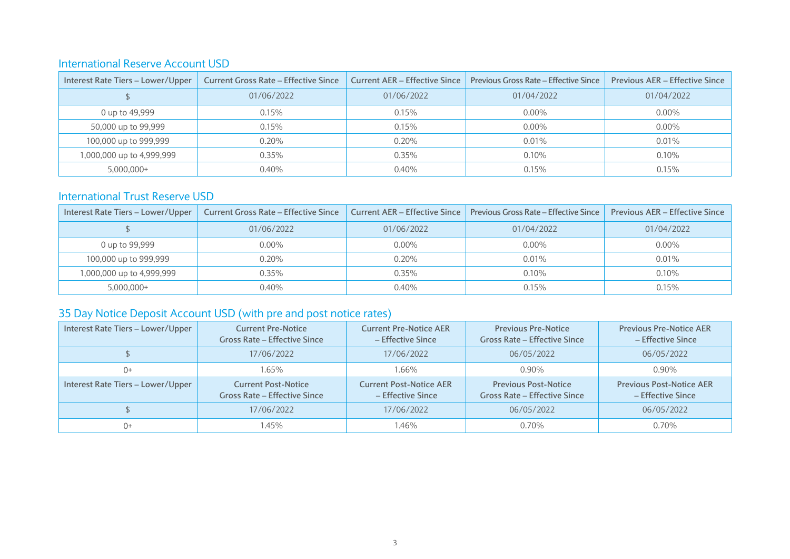#### International Reserve Account USD

| Interest Rate Tiers - Lower/Upper | <b>Current Gross Rate - Effective Since</b> | <b>Current AER - Effective Since</b> | <b>Previous Gross Rate - Effective Since</b> | <b>Previous AER – Effective Since</b> |
|-----------------------------------|---------------------------------------------|--------------------------------------|----------------------------------------------|---------------------------------------|
|                                   | 01/06/2022                                  | 01/06/2022                           | 01/04/2022                                   | 01/04/2022                            |
| 0 up to 49,999                    | 0.15%                                       | 0.15%                                | $0.00\%$                                     | $0.00\%$                              |
| 50,000 up to 99,999               | 0.15%                                       | 0.15%                                | $0.00\%$                                     | $0.00\%$                              |
| 100,000 up to 999,999             | 0.20%                                       | 0.20%                                | 0.01%                                        | 0.01%                                 |
| 1,000,000 up to 4,999,999         | 0.35%                                       | 0.35%                                | 0.10%                                        | 0.10%                                 |
| $5.000.000+$                      | 0.40%                                       | 0.40%                                | 0.15%                                        | 0.15%                                 |

#### International Trust Reserve USD

| Interest Rate Tiers - Lower/Upper | <b>Current Gross Rate - Effective Since</b> |            | <b>Current AER – Effective Since   Previous Gross Rate – Effective Since</b> | <b>Previous AER - Effective Since</b> |
|-----------------------------------|---------------------------------------------|------------|------------------------------------------------------------------------------|---------------------------------------|
|                                   | 01/06/2022                                  | 01/06/2022 | 01/04/2022                                                                   | 01/04/2022                            |
| 0 up to 99,999                    | $0.00\%$                                    | $0.00\%$   | $0.00\%$                                                                     | $0.00\%$                              |
| 100,000 up to 999,999             | 0.20%                                       | 0.20%      | $0.01\%$                                                                     | 0.01%                                 |
| 1,000,000 up to 4,999,999         | $0.35\%$                                    | 0.35%      | 0.10%                                                                        | 0.10%                                 |
| $5,000,000+$                      | 0.40%                                       | 0.40%      | 0.15%                                                                        | 0.15%                                 |

### 35 Day Notice Deposit Account USD (with pre and post notice rates)

| Interest Rate Tiers - Lower/Upper | <b>Current Pre-Notice</b><br><b>Gross Rate - Effective Since</b>  | <b>Current Pre-Notice AER</b><br>- Effective Since  | <b>Previous Pre-Notice</b><br><b>Gross Rate - Effective Since</b>  | <b>Previous Pre-Notice AER</b><br>- Effective Since  |
|-----------------------------------|-------------------------------------------------------------------|-----------------------------------------------------|--------------------------------------------------------------------|------------------------------------------------------|
|                                   | 17/06/2022                                                        | 17/06/2022                                          | 06/05/2022                                                         | 06/05/2022                                           |
| $() +$                            | 1.65%                                                             | 1.66%                                               | $0.90\%$                                                           | $0.90\%$                                             |
|                                   |                                                                   |                                                     |                                                                    |                                                      |
| Interest Rate Tiers - Lower/Upper | <b>Current Post-Notice</b><br><b>Gross Rate - Effective Since</b> | <b>Current Post-Notice AER</b><br>- Effective Since | <b>Previous Post-Notice</b><br><b>Gross Rate - Effective Since</b> | <b>Previous Post-Notice AER</b><br>- Effective Since |
|                                   | 17/06/2022                                                        | 17/06/2022                                          | 06/05/2022                                                         | 06/05/2022                                           |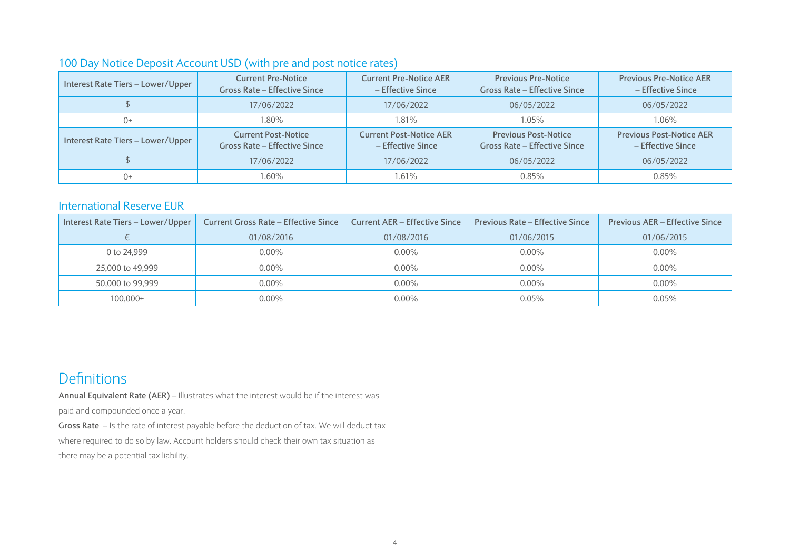#### 100 Day Notice Deposit Account USD (with pre and post notice rates)

| Interest Rate Tiers - Lower/Upper | <b>Current Pre-Notice</b><br><b>Gross Rate - Effective Since</b>  | <b>Current Pre-Notice AER</b><br>- Effective Since  | <b>Previous Pre-Notice</b><br><b>Gross Rate - Effective Since</b>  | <b>Previous Pre-Notice AER</b><br>- Effective Since  |
|-----------------------------------|-------------------------------------------------------------------|-----------------------------------------------------|--------------------------------------------------------------------|------------------------------------------------------|
|                                   | 17/06/2022                                                        | 17/06/2022                                          | 06/05/2022                                                         | 06/05/2022                                           |
| $()+$                             | 1.80%                                                             | 1.81%                                               | 1.05%                                                              | 1.06%                                                |
| Interest Rate Tiers - Lower/Upper | <b>Current Post-Notice</b><br><b>Gross Rate - Effective Since</b> | <b>Current Post-Notice AER</b><br>- Effective Since | <b>Previous Post-Notice</b><br><b>Gross Rate - Effective Since</b> | <b>Previous Post-Notice AER</b><br>- Effective Since |
|                                   | 17/06/2022                                                        | 17/06/2022                                          | 06/05/2022                                                         | 06/05/2022                                           |
| 0+                                | 1.60%                                                             | $1.61\%$                                            | 0.85%                                                              | 0.85%                                                |

#### International Reserve EUR

| Interest Rate Tiers - Lower/Upper | <b>Current Gross Rate - Effective Since</b> | <b>Current AER - Effective Since</b> | <b>Previous Rate - Effective Since</b> | <b>Previous AER - Effective Since</b> |
|-----------------------------------|---------------------------------------------|--------------------------------------|----------------------------------------|---------------------------------------|
|                                   | 01/08/2016                                  | 01/08/2016                           | 01/06/2015                             | 01/06/2015                            |
| 0 to 24.999                       | $0.00\%$                                    | $0.00\%$                             | $0.00\%$                               | $0.00\%$                              |
| 25,000 to 49,999                  | $0.00\%$                                    | $0.00\%$                             | $0.00\%$                               | $0.00\%$                              |
| 50,000 to 99,999                  | $0.00\%$                                    | $0.00\%$                             | $0.00\%$                               | $0.00\%$                              |
| $100,000+$                        | $0.00\%$                                    | $0.00\%$                             | 0.05%                                  | 0.05%                                 |

## **Definitions**

**Annual Equivalent Rate (AER)** – Illustrates what the interest would be if the interest was paid and compounded once a year.

**Gross Rate** – Is the rate of interest payable before the deduction of tax. We will deduct tax where required to do so by law. Account holders should check their own tax situation as there may be a potential tax liability.